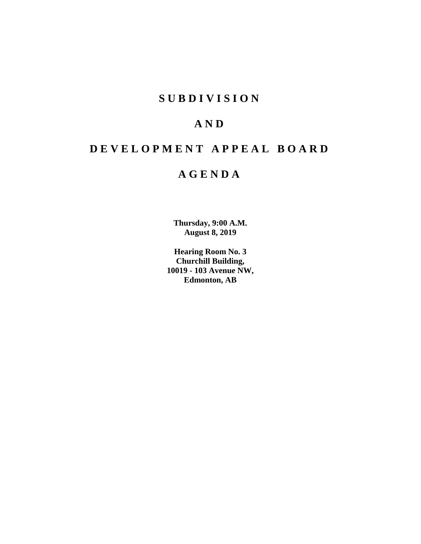# **S U B D I V I S I O N**

# **A N D**

# **D E V E L O P M E N T A P P E A L B O A R D**

# **A G E N D A**

**Thursday, 9:00 A.M. August 8, 2019**

**Hearing Room No. 3 Churchill Building, 10019 - 103 Avenue NW, Edmonton, AB**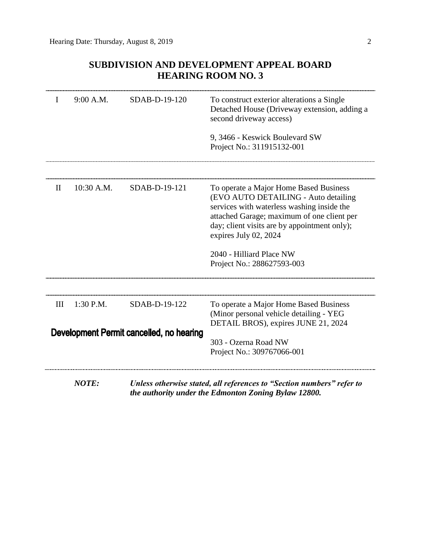# **SUBDIVISION AND DEVELOPMENT APPEAL BOARD HEARING ROOM NO. 3**

| I                                        | 9:00 A.M.    | SDAB-D-19-120 | To construct exterior alterations a Single<br>Detached House (Driveway extension, adding a<br>second driveway access)                                                                                                                               |
|------------------------------------------|--------------|---------------|-----------------------------------------------------------------------------------------------------------------------------------------------------------------------------------------------------------------------------------------------------|
|                                          |              |               | 9, 3466 - Keswick Boulevard SW<br>Project No.: 311915132-001                                                                                                                                                                                        |
|                                          |              |               |                                                                                                                                                                                                                                                     |
| П                                        | $10:30$ A.M. | SDAB-D-19-121 | To operate a Major Home Based Business<br>(EVO AUTO DETAILING - Auto detailing<br>services with waterless washing inside the<br>attached Garage; maximum of one client per<br>day; client visits are by appointment only);<br>expires July 02, 2024 |
|                                          |              |               | 2040 - Hilliard Place NW<br>Project No.: 288627593-003                                                                                                                                                                                              |
|                                          |              |               |                                                                                                                                                                                                                                                     |
| III                                      | 1:30 P.M.    | SDAB-D-19-122 | To operate a Major Home Based Business<br>(Minor personal vehicle detailing - YEG<br>DETAIL BROS), expires JUNE 21, 2024                                                                                                                            |
| Development Permit cancelled, no hearing |              |               | 303 - Ozerna Road NW                                                                                                                                                                                                                                |
|                                          | <b>NOTE:</b> |               | Project No.: 309767066-001<br>Unless otherwise stated, all references to "Section numbers" refer to                                                                                                                                                 |

*the authority under the Edmonton Zoning Bylaw 12800.*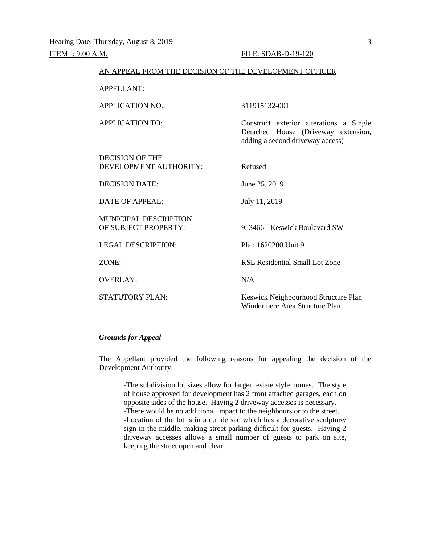| AN APPEAL FROM THE DECISION OF THE DEVELOPMENT OFFICER |                                                                                                                    |
|--------------------------------------------------------|--------------------------------------------------------------------------------------------------------------------|
| <b>APPELLANT:</b>                                      |                                                                                                                    |
| <b>APPLICATION NO.:</b>                                | 311915132-001                                                                                                      |
| <b>APPLICATION TO:</b>                                 | Construct exterior alterations a Single<br>Detached House (Driveway extension,<br>adding a second driveway access) |
| DECISION OF THE<br>DEVELOPMENT AUTHORITY:              | Refused                                                                                                            |
| <b>DECISION DATE:</b>                                  | June 25, 2019                                                                                                      |
| <b>DATE OF APPEAL:</b>                                 | July 11, 2019                                                                                                      |
| <b>MUNICIPAL DESCRIPTION</b><br>OF SUBJECT PROPERTY:   | 9, 3466 - Keswick Boulevard SW                                                                                     |
| <b>LEGAL DESCRIPTION:</b>                              | Plan 1620200 Unit 9                                                                                                |
| ZONE:                                                  | RSL Residential Small Lot Zone                                                                                     |
| <b>OVERLAY:</b>                                        | N/A                                                                                                                |
| <b>STATUTORY PLAN:</b>                                 | Keswick Neighbourhood Structure Plan<br>Windermere Area Structure Plan                                             |

## *Grounds for Appeal*

The Appellant provided the following reasons for appealing the decision of the Development Authority:

-The subdivision lot sizes allow for larger, estate style homes. The style of house approved for development has 2 front attached garages, each on opposite sides of the house. Having 2 driveway accesses is necessary. -There would be no additional impact to the neighbours or to the street. -Location of the lot is in a cul de sac which has a decorative sculpture/ sign in the middle, making street parking difficult for guests. Having 2 driveway accesses allows a small number of guests to park on site, keeping the street open and clear.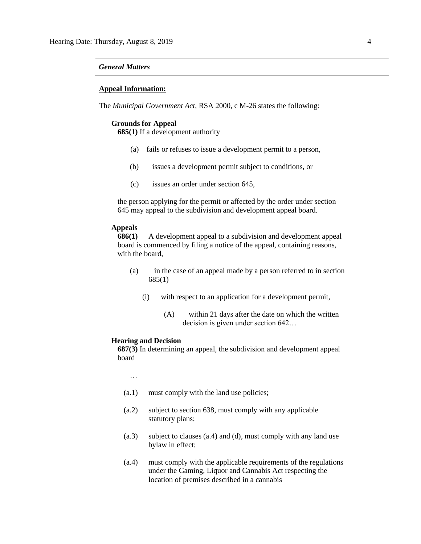## *General Matters*

## **Appeal Information:**

The *Municipal Government Act*, RSA 2000, c M-26 states the following:

## **Grounds for Appeal**

**685(1)** If a development authority

- (a) fails or refuses to issue a development permit to a person,
- (b) issues a development permit subject to conditions, or
- (c) issues an order under section 645,

the person applying for the permit or affected by the order under section 645 may appeal to the subdivision and development appeal board.

## **Appeals**

**686(1)** A development appeal to a subdivision and development appeal board is commenced by filing a notice of the appeal, containing reasons, with the board,

- (a) in the case of an appeal made by a person referred to in section 685(1)
	- (i) with respect to an application for a development permit,
		- (A) within 21 days after the date on which the written decision is given under section 642…

## **Hearing and Decision**

**687(3)** In determining an appeal, the subdivision and development appeal board

…

- (a.1) must comply with the land use policies;
- (a.2) subject to section 638, must comply with any applicable statutory plans;
- (a.3) subject to clauses (a.4) and (d), must comply with any land use bylaw in effect;
- (a.4) must comply with the applicable requirements of the regulations under the Gaming, Liquor and Cannabis Act respecting the location of premises described in a cannabis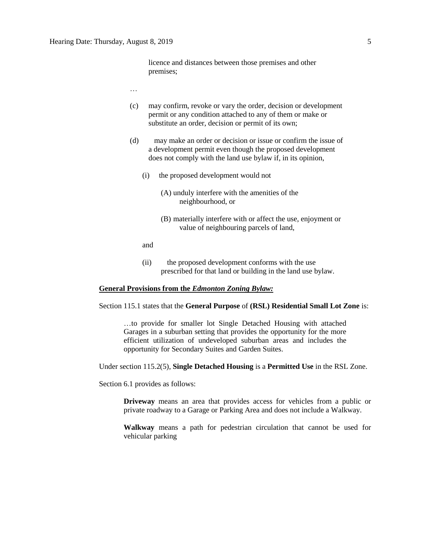- …
- (c) may confirm, revoke or vary the order, decision or development permit or any condition attached to any of them or make or substitute an order, decision or permit of its own;
- (d) may make an order or decision or issue or confirm the issue of a development permit even though the proposed development does not comply with the land use bylaw if, in its opinion,
	- (i) the proposed development would not
		- (A) unduly interfere with the amenities of the neighbourhood, or
		- (B) materially interfere with or affect the use, enjoyment or value of neighbouring parcels of land,

and

(ii) the proposed development conforms with the use prescribed for that land or building in the land use bylaw.

## **General Provisions from the** *Edmonton Zoning Bylaw:*

Section 115.1 states that the **General Purpose** of **(RSL) Residential Small Lot Zone** is:

…to provide for smaller lot Single Detached Housing with attached Garages in a suburban setting that provides the opportunity for the more efficient utilization of undeveloped suburban areas and includes the opportunity for Secondary Suites and Garden Suites.

Under section 115.2(5), **Single Detached Housing** is a **Permitted Use** in the RSL Zone.

Section 6.1 provides as follows:

**Driveway** means an area that provides access for vehicles from a public or private roadway to a Garage or Parking Area and does not include a Walkway.

**Walkway** means a path for pedestrian circulation that cannot be used for vehicular parking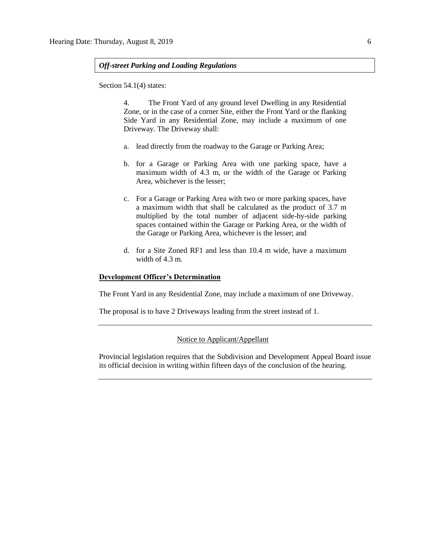## *Off-street Parking and Loading Regulations*

Section 54.1(4) states:

4. The Front Yard of any ground level Dwelling in any Residential Zone, or in the case of a corner Site, either the Front Yard or the flanking Side Yard in any Residential Zone, may include a maximum of one Driveway. The Driveway shall:

- a. lead directly from the roadway to the Garage or Parking Area;
- b. for a Garage or Parking Area with one parking space, have a maximum width of 4.3 m, or the width of the Garage or Parking Area, whichever is the lesser;
- c. For a Garage or Parking Area with two or more parking spaces, have a maximum width that shall be calculated as the product of 3.7 m multiplied by the total number of adjacent side-by-side parking spaces contained within the Garage or Parking Area, or the width of the Garage or Parking Area, whichever is the lesser; and
- d. for a Site Zoned RF1 and less than 10.4 m wide, have a maximum width of 4.3 m.

## **Development Officer's Determination**

The Front Yard in any Residential Zone, may include a maximum of one Driveway.

The proposal is to have 2 Driveways leading from the street instead of 1.

Notice to Applicant/Appellant

Provincial legislation requires that the Subdivision and Development Appeal Board issue its official decision in writing within fifteen days of the conclusion of the hearing.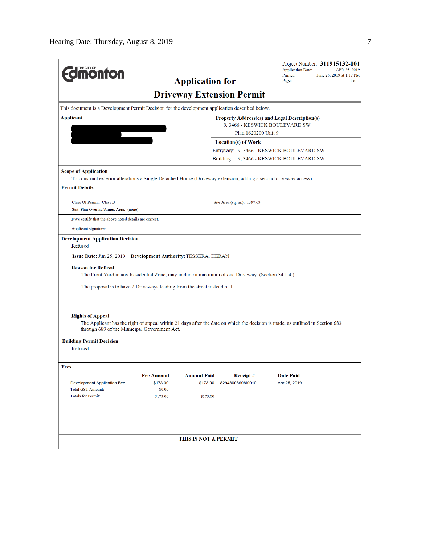| THE CITY OF<br><b><i><u>MONTON</u></i></b>                                                                               | <b>Application for</b>                                                                                                                                                        | Project Number: 311915132-001<br><b>Application Date:</b><br>APR 25, 2019<br>Printed:<br>June 25, 2019 at 1:17 PM<br>Page:<br>$1$ of $1$ |  |  |  |
|--------------------------------------------------------------------------------------------------------------------------|-------------------------------------------------------------------------------------------------------------------------------------------------------------------------------|------------------------------------------------------------------------------------------------------------------------------------------|--|--|--|
|                                                                                                                          | <b>Driveway Extension Permit</b>                                                                                                                                              |                                                                                                                                          |  |  |  |
|                                                                                                                          | This document is a Development Permit Decision for the development application described below.                                                                               |                                                                                                                                          |  |  |  |
| <b>Applicant</b><br>$\overline{\phantom{a}}$                                                                             |                                                                                                                                                                               | <b>Property Address(es) and Legal Description(s)</b><br>9, 3466 - KESWICK BOULEVARD SW<br>Plan 1620200 Unit 9                            |  |  |  |
|                                                                                                                          | <b>Location(s) of Work</b>                                                                                                                                                    | Entryway: 9, 3466 - KESWICK BOULEVARD SW<br>Building: 9, 3466 - KESWICK BOULEVARD SW                                                     |  |  |  |
| <b>Scope of Application</b><br><b>Permit Details</b>                                                                     | To construct exterior alterations a Single Detached House (Driveway extension, adding a second driveway access).                                                              |                                                                                                                                          |  |  |  |
| Class Of Permit: Class B<br>Stat. Plan Overlay/Annex Area: (none)                                                        | Site Area (sq. m.): 1397.63                                                                                                                                                   |                                                                                                                                          |  |  |  |
| I/We certify that the above noted details are correct.                                                                   |                                                                                                                                                                               |                                                                                                                                          |  |  |  |
| Applicant signature:                                                                                                     |                                                                                                                                                                               |                                                                                                                                          |  |  |  |
| Refused<br>Issue Date: Jun 25, 2019 Development Authority: TESSERA, HERAN<br><b>Reason for Refusal</b>                   | The Front Yard in any Residential Zone, may include a maximum of one Driveway. (Section 54.1.4.)<br>The proposal is to have 2 Driveways leading from the street instead of 1. |                                                                                                                                          |  |  |  |
| <b>Rights of Appeal</b><br>through 689 of the Municipal Government Act.                                                  | The Applicant has the right of appeal within 21 days after the date on which the decision is made, as outlined in Section 683                                                 |                                                                                                                                          |  |  |  |
| <b>Building Permit Decision</b><br>Refused                                                                               |                                                                                                                                                                               |                                                                                                                                          |  |  |  |
| Fees<br><b>Fee Amount</b><br><b>Development Application Fee</b><br><b>Total GST Amount:</b><br><b>Totals for Permit:</b> | <b>Amount Paid</b><br>Receipt#<br>\$173.00<br>\$173.00<br>82948008608l0010<br>\$0.00<br>\$173.00<br>\$173.00                                                                  | Date Paid<br>Apr 25, 2019                                                                                                                |  |  |  |
|                                                                                                                          | <b>THIS IS NOT A PERMIT</b>                                                                                                                                                   |                                                                                                                                          |  |  |  |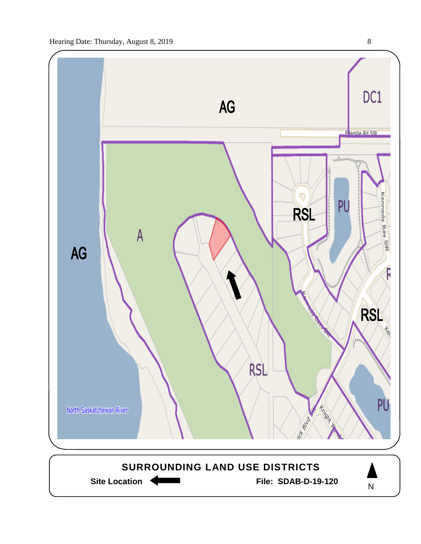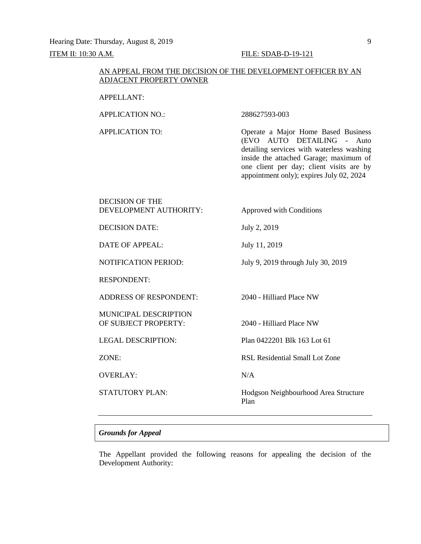Hearing Date: Thursday, August 8, 2019 9 ITEM II: 10:30 A.M. FILE: SDAB-D-19-121

## AN APPEAL FROM THE DECISION OF THE DEVELOPMENT OFFICER BY AN ADJACENT PROPERTY OWNER

## APPELLANT:

APPLICATION NO.: 288627593-003

APPLICATION TO: Operate a Major Home Based Business (EVO AUTO DETAILING - Auto detailing services with waterless washing inside the attached Garage; maximum of one client per day; client visits are by appointment only); expires July 02, 2024

| <b>DECISION OF THE</b><br>DEVELOPMENT AUTHORITY:     | Approved with Conditions                     |
|------------------------------------------------------|----------------------------------------------|
| <b>DECISION DATE:</b>                                | July 2, 2019                                 |
| DATE OF APPEAL:                                      | July 11, 2019                                |
| <b>NOTIFICATION PERIOD:</b>                          | July 9, 2019 through July 30, 2019           |
| <b>RESPONDENT:</b>                                   |                                              |
| <b>ADDRESS OF RESPONDENT:</b>                        | 2040 - Hilliard Place NW                     |
| <b>MUNICIPAL DESCRIPTION</b><br>OF SUBJECT PROPERTY: | 2040 - Hilliard Place NW                     |
| <b>LEGAL DESCRIPTION:</b>                            | Plan 0422201 Blk 163 Lot 61                  |
| ZONE:                                                | RSL Residential Small Lot Zone               |
| <b>OVERLAY:</b>                                      | N/A                                          |
| <b>STATUTORY PLAN:</b>                               | Hodgson Neighbourhood Area Structure<br>Plan |
|                                                      |                                              |

## *Grounds for Appeal*

The Appellant provided the following reasons for appealing the decision of the Development Authority: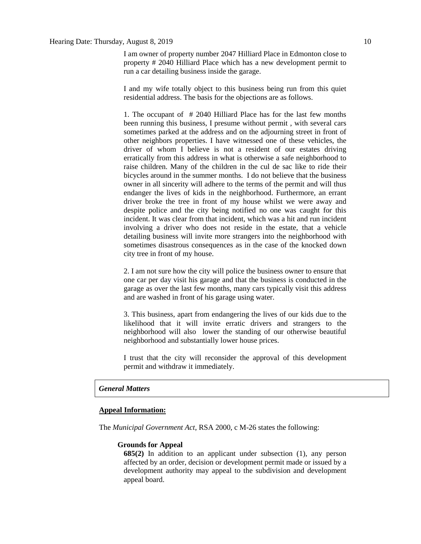## Hearing Date: Thursday, August 8, 2019 10

I am owner of property number 2047 Hilliard Place in Edmonton close to property # 2040 Hilliard Place which has a new development permit to run a car detailing business inside the garage.

I and my wife totally object to this business being run from this quiet residential address. The basis for the objections are as follows.

1. The occupant of # 2040 Hilliard Place has for the last few months been running this business, I presume without permit , with several cars sometimes parked at the address and on the adjourning street in front of other neighbors properties. I have witnessed one of these vehicles, the driver of whom I believe is not a resident of our estates driving erratically from this address in what is otherwise a safe neighborhood to raise children. Many of the children in the cul de sac like to ride their bicycles around in the summer months. I do not believe that the business owner in all sincerity will adhere to the terms of the permit and will thus endanger the lives of kids in the neighborhood. Furthermore, an errant driver broke the tree in front of my house whilst we were away and despite police and the city being notified no one was caught for this incident. It was clear from that incident, which was a hit and run incident involving a driver who does not reside in the estate, that a vehicle detailing business will invite more strangers into the neighborhood with sometimes disastrous consequences as in the case of the knocked down city tree in front of my house.

2. I am not sure how the city will police the business owner to ensure that one car per day visit his garage and that the business is conducted in the garage as over the last few months, many cars typically visit this address and are washed in front of his garage using water.

3. This business, apart from endangering the lives of our kids due to the likelihood that it will invite erratic drivers and strangers to the neighborhood will also lower the standing of our otherwise beautiful neighborhood and substantially lower house prices.

I trust that the city will reconsider the approval of this development permit and withdraw it immediately.

## *General Matters*

## **Appeal Information:**

The *Municipal Government Act*, RSA 2000, c M-26 states the following:

## **Grounds for Appeal**

**685(2)** In addition to an applicant under subsection (1), any person affected by an order, decision or development permit made or issued by a development authority may appeal to the subdivision and development appeal board.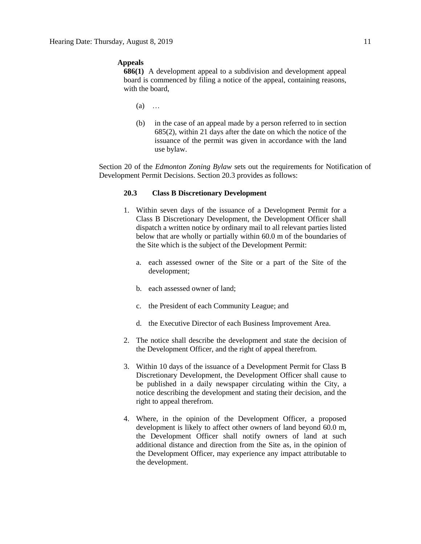## **Appeals**

**686(1)** A development appeal to a subdivision and development appeal board is commenced by filing a notice of the appeal, containing reasons, with the board,

- (a) …
- (b) in the case of an appeal made by a person referred to in section 685(2), within 21 days after the date on which the notice of the issuance of the permit was given in accordance with the land use bylaw.

Section 20 of the *Edmonton Zoning Bylaw* sets out the requirements for Notification of Development Permit Decisions. Section 20.3 provides as follows:

## **20.3 Class B Discretionary Development**

- 1. Within seven days of the issuance of a Development Permit for a Class B Discretionary Development, the Development Officer shall dispatch a written notice by ordinary mail to all relevant parties listed below that are wholly or partially within 60.0 m of the boundaries of the Site which is the subject of the Development Permit:
	- a. each assessed owner of the Site or a part of the Site of the development;
	- b. each assessed owner of land;
	- c. the President of each Community League; and
	- d. the Executive Director of each Business Improvement Area.
- 2. The notice shall describe the development and state the decision of the Development Officer, and the right of appeal therefrom.
- 3. Within 10 days of the issuance of a Development Permit for Class B Discretionary Development, the Development Officer shall cause to be published in a daily newspaper circulating within the City, a notice describing the development and stating their decision, and the right to appeal therefrom.
- 4. Where, in the opinion of the Development Officer, a proposed development is likely to affect other owners of land beyond 60.0 m, the Development Officer shall notify owners of land at such additional distance and direction from the Site as, in the opinion of the Development Officer, may experience any impact attributable to the development.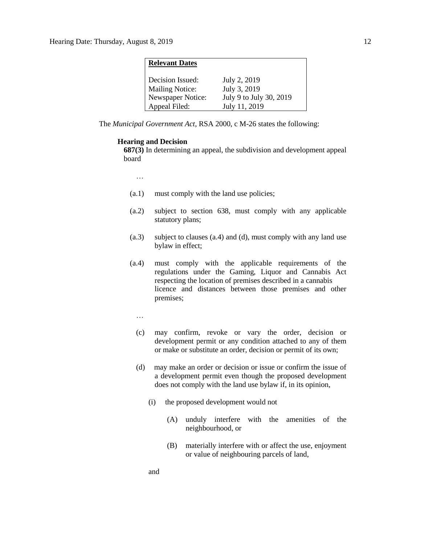## **Relevant Dates**

| Decision Issued:       | July 2, 2019            |
|------------------------|-------------------------|
| <b>Mailing Notice:</b> | July 3, 2019            |
| Newspaper Notice:      | July 9 to July 30, 2019 |
| Appeal Filed:          | July 11, 2019           |

The *Municipal Government Act*, RSA 2000, c M-26 states the following:

## **Hearing and Decision**

**687(3)** In determining an appeal, the subdivision and development appeal board

…

- (a.1) must comply with the land use policies;
- (a.2) subject to section 638, must comply with any applicable statutory plans;
- (a.3) subject to clauses (a.4) and (d), must comply with any land use bylaw in effect;
- (a.4) must comply with the applicable requirements of the regulations under the Gaming, Liquor and Cannabis Act respecting the location of premises described in a cannabis licence and distances between those premises and other premises;
	- …
	- (c) may confirm, revoke or vary the order, decision or development permit or any condition attached to any of them or make or substitute an order, decision or permit of its own;
	- (d) may make an order or decision or issue or confirm the issue of a development permit even though the proposed development does not comply with the land use bylaw if, in its opinion,
		- (i) the proposed development would not
			- (A) unduly interfere with the amenities of the neighbourhood, or
			- (B) materially interfere with or affect the use, enjoyment or value of neighbouring parcels of land,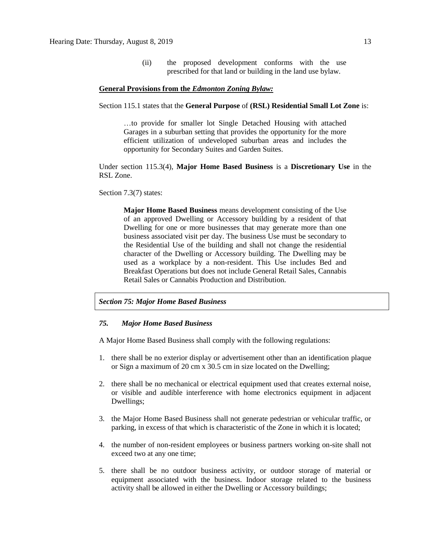(ii) the proposed development conforms with the use prescribed for that land or building in the land use bylaw.

## **General Provisions from the** *Edmonton Zoning Bylaw:*

Section 115.1 states that the **General Purpose** of **(RSL) Residential Small Lot Zone** is:

…to provide for smaller lot Single Detached Housing with attached Garages in a suburban setting that provides the opportunity for the more efficient utilization of undeveloped suburban areas and includes the opportunity for Secondary Suites and Garden Suites.

Under section 115.3(4), **Major Home Based Business** is a **Discretionary Use** in the RSL Zone.

Section 7.3(7) states:

**Major Home Based Business** means development consisting of the Use of an approved Dwelling or Accessory building by a resident of that Dwelling for one or more businesses that may generate more than one business associated visit per day. The business Use must be secondary to the Residential Use of the building and shall not change the residential character of the Dwelling or Accessory building. The Dwelling may be used as a workplace by a non-resident. This Use includes Bed and Breakfast Operations but does not include General Retail Sales, Cannabis Retail Sales or Cannabis Production and Distribution.

## *Section 75: Major Home Based Business*

### *75. Major Home Based Business*

A Major Home Based Business shall comply with the following regulations:

- 1. there shall be no exterior display or advertisement other than an identification plaque or Sign a maximum of 20 cm x 30.5 cm in size located on the Dwelling;
- 2. there shall be no mechanical or electrical equipment used that creates external noise, or visible and audible interference with home electronics equipment in adjacent Dwellings;
- 3. the Major Home Based Business shall not generate pedestrian or vehicular traffic, or parking, in excess of that which is characteristic of the Zone in which it is located;
- 4. the number of non-resident employees or business partners working on-site shall not exceed two at any one time;
- 5. there shall be no outdoor business activity, or outdoor storage of material or equipment associated with the business. Indoor storage related to the business activity shall be allowed in either the Dwelling or Accessory buildings;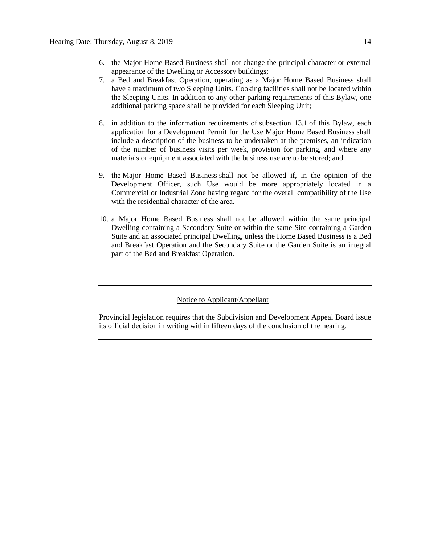- 6. the Major Home Based Business shall not change the principal character or external appearance of the Dwelling or Accessory buildings;
- 7. a Bed and Breakfast Operation, operating as a Major Home Based Business shall have a maximum of two Sleeping Units. Cooking facilities shall not be located within the Sleeping Units. In addition to any other parking requirements of this Bylaw, one additional parking space shall be provided for each Sleeping Unit;
- 8. in addition to the information requirements of subsection 13.1 of this Bylaw, each application for a Development Permit for the Use Major Home Based Business shall include a description of the business to be undertaken at the premises, an indication of the number of business visits per week, provision for parking, and where any materials or equipment associated with the business use are to be stored; and
- 9. the Major Home Based Business shall not be allowed if, in the opinion of the Development Officer, such Use would be more appropriately located in a Commercial or Industrial Zone having regard for the overall compatibility of the Use with the residential character of the area.
- 10. a Major Home Based Business shall not be allowed within the same principal Dwelling containing a Secondary Suite or within the same Site containing a Garden Suite and an associated principal Dwelling, unless the Home Based Business is a Bed and Breakfast Operation and the Secondary Suite or the Garden Suite is an integral part of the Bed and Breakfast Operation.

Notice to Applicant/Appellant

Provincial legislation requires that the Subdivision and Development Appeal Board issue its official decision in writing within fifteen days of the conclusion of the hearing.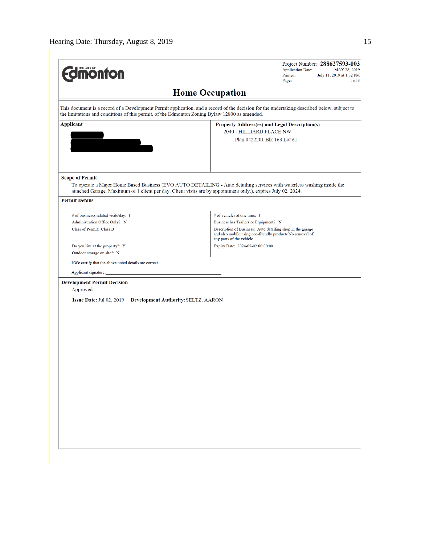| <b>MOnton</b>                                                                                 | Project Number: 288627593-003<br><b>Application Date:</b><br>MAY 28, 2019<br>Printed:<br>July 11, 2019 at 1:32 PM<br>Page:<br>$1$ of $3$                                                                                                |  |  |  |
|-----------------------------------------------------------------------------------------------|-----------------------------------------------------------------------------------------------------------------------------------------------------------------------------------------------------------------------------------------|--|--|--|
| <b>Home Occupation</b>                                                                        |                                                                                                                                                                                                                                         |  |  |  |
| the limitations and conditions of this permit, of the Edmonton Zoning Bylaw 12800 as amended. | This document is a record of a Development Permit application, and a record of the decision for the undertaking described below, subject to                                                                                             |  |  |  |
| <b>Applicant</b>                                                                              | <b>Property Address(es) and Legal Description(s)</b>                                                                                                                                                                                    |  |  |  |
|                                                                                               | 2040 - HILLIARD PLACE NW                                                                                                                                                                                                                |  |  |  |
|                                                                                               | Plan 0422201 Blk 163 Lot 61                                                                                                                                                                                                             |  |  |  |
|                                                                                               |                                                                                                                                                                                                                                         |  |  |  |
| <b>Scope of Permit</b>                                                                        | To operate a Major Home Based Business (EVO AUTO DETAILING - Auto detailing services with waterless washing inside the<br>attached Garage. Maximum of 1 client per day. Client visits are by appointment only.), expires July 02, 2024. |  |  |  |
| <b>Permit Details</b>                                                                         |                                                                                                                                                                                                                                         |  |  |  |
| # of businesss related visits/day: 1                                                          | # of vehicles at one time: 1                                                                                                                                                                                                            |  |  |  |
| Administration Office Only?: N                                                                | Business has Trailers or Equipment?: N                                                                                                                                                                                                  |  |  |  |
| Class of Permit: Class B                                                                      | Description of Business: Auto detailing shop in the garage<br>and also mobile using eco-friendly products. No removal of<br>any parts of the vehicle.                                                                                   |  |  |  |
| Do you live at the property?: Y                                                               | Expiry Date: 2024-07-02 00:00:00                                                                                                                                                                                                        |  |  |  |
| Outdoor storage on site?: N                                                                   |                                                                                                                                                                                                                                         |  |  |  |
| I/We certify that the above noted details are correct.                                        |                                                                                                                                                                                                                                         |  |  |  |
| Applicant signature:                                                                          |                                                                                                                                                                                                                                         |  |  |  |
| <b>Development Permit Decision</b><br>Approved                                                |                                                                                                                                                                                                                                         |  |  |  |
| <b>Issue Date: Jul 02, 2019</b><br>Development Authority: SELTZ, AARON                        |                                                                                                                                                                                                                                         |  |  |  |
|                                                                                               |                                                                                                                                                                                                                                         |  |  |  |
|                                                                                               |                                                                                                                                                                                                                                         |  |  |  |
|                                                                                               |                                                                                                                                                                                                                                         |  |  |  |
|                                                                                               |                                                                                                                                                                                                                                         |  |  |  |
|                                                                                               |                                                                                                                                                                                                                                         |  |  |  |
|                                                                                               |                                                                                                                                                                                                                                         |  |  |  |
|                                                                                               |                                                                                                                                                                                                                                         |  |  |  |
|                                                                                               |                                                                                                                                                                                                                                         |  |  |  |
|                                                                                               |                                                                                                                                                                                                                                         |  |  |  |
|                                                                                               |                                                                                                                                                                                                                                         |  |  |  |
|                                                                                               |                                                                                                                                                                                                                                         |  |  |  |
|                                                                                               |                                                                                                                                                                                                                                         |  |  |  |
|                                                                                               |                                                                                                                                                                                                                                         |  |  |  |
|                                                                                               |                                                                                                                                                                                                                                         |  |  |  |
|                                                                                               |                                                                                                                                                                                                                                         |  |  |  |
|                                                                                               |                                                                                                                                                                                                                                         |  |  |  |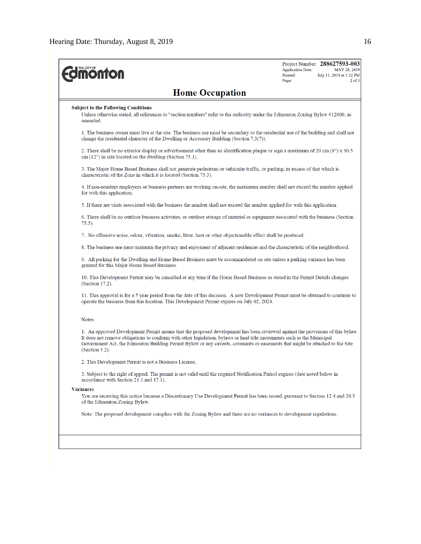| <b>UTHECITY OF THE DIRECT OF THE LAST STATE</b>                                                                                                                                                                                                                                                                                                                                                                 | Project Number: 288627593-003<br><b>Application Date:</b><br>MAY 28, 2019<br>Printed:<br>July 11, 2019 at 1:32 PM<br>$2$ of $3$<br>Page: |
|-----------------------------------------------------------------------------------------------------------------------------------------------------------------------------------------------------------------------------------------------------------------------------------------------------------------------------------------------------------------------------------------------------------------|------------------------------------------------------------------------------------------------------------------------------------------|
| <b>Home Occupation</b>                                                                                                                                                                                                                                                                                                                                                                                          |                                                                                                                                          |
| <b>Subject to the Following Conditions</b><br>Unless otherwise stated, all references to "section numbers" refer to the authority under the Edmonton Zoning Bylaw #12800, as<br>amended.                                                                                                                                                                                                                        |                                                                                                                                          |
| 1. The business owner must live at the site. The business use must be secondary to the residential use of the building and shall not<br>change the residential character of the Dwelling or Accessory Building (Section 7.3(7)).                                                                                                                                                                                |                                                                                                                                          |
| 2. There shall be no exterior display or advertisement other than an identification plaque or sign a maximum of 20 cm (8") x 30.5<br>$cm (12")$ in size located on the dwelling (Section 75.1).                                                                                                                                                                                                                 |                                                                                                                                          |
| 3. The Major Home Based Business shall not generate pedestrian or vehicular traffic, or parking, in excess of that which is<br>characteristic of the Zone in which it is located (Section 75.3).                                                                                                                                                                                                                |                                                                                                                                          |
| 4. If non-resident employees or business partners are working on-site, the maximum number shall not exceed the number applied<br>for with this application.                                                                                                                                                                                                                                                     |                                                                                                                                          |
| 5. If there are visits associated with the business the number shall not exceed the number applied for with this application.                                                                                                                                                                                                                                                                                   |                                                                                                                                          |
| 6. There shall be no outdoor business activities, or outdoor storage of material or equipment associated with the business (Section<br>$75.5$ ).                                                                                                                                                                                                                                                                |                                                                                                                                          |
| 7. No offensive noise, odour, vibration, smoke, litter, heat or other objectionable effect shall be produced.                                                                                                                                                                                                                                                                                                   |                                                                                                                                          |
| 8. The business use must maintain the privacy and enjoyment of adjacent residences and the characteristic of the neighborhood.                                                                                                                                                                                                                                                                                  |                                                                                                                                          |
| 9. All parking for the Dwelling and Home Based Business must be accommodated on site unless a parking variance has been<br>granted for this Major Home Based Business.                                                                                                                                                                                                                                          |                                                                                                                                          |
| 10. This Development Permit may be cancelled at any time if the Home Based Business as stated in the Permit Details changes<br>(Section 17.2).                                                                                                                                                                                                                                                                  |                                                                                                                                          |
| 11. This approval is for a 5 year period from the date of this decision. A new Development Permit must be obtained to continue to<br>operate the business from this location. This Development Permit expires on July 02, 2024.                                                                                                                                                                                 |                                                                                                                                          |
| Notes:                                                                                                                                                                                                                                                                                                                                                                                                          |                                                                                                                                          |
| 1. An approved Development Permit means that the proposed development has been reviewed against the provisions of this bylaw.<br>It does not remove obligations to conform with other legislation, by laws or land title instruments such as the Municipal<br>Government Act, the Edmonton Building Permit Bylaw or any caveats, covenants or easements that might be attached to the Site<br>(Section $5.2$ ). |                                                                                                                                          |
| 2. This Development Permit is not a Business License.                                                                                                                                                                                                                                                                                                                                                           |                                                                                                                                          |
| 3. Subject to the right of appeal. The permit is not valid until the required Notification Period expires (date noted below in<br>accordance with Section 21.1 and 17.1).                                                                                                                                                                                                                                       |                                                                                                                                          |
| <b>Variances</b>                                                                                                                                                                                                                                                                                                                                                                                                |                                                                                                                                          |
| You are receiving this notice because a Discretionary Use Development Permit has been issued, pursuant to Section 12.4 and 20.3<br>of the Edmonton Zoning Bylaw.                                                                                                                                                                                                                                                |                                                                                                                                          |
| Note: The proposed development complies with the Zoning Bylaw and there are no variances to development regulations.                                                                                                                                                                                                                                                                                            |                                                                                                                                          |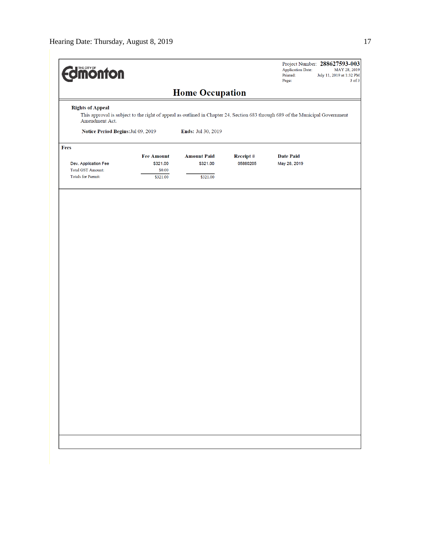| <b><i><u>dimonton</u></i></b>                    |                                                                                                                                |                                |                      | <b>Application Date:</b><br>Printed:<br>Page: | Project Number: 288627593-003<br>MAY 28, 2019<br>July 11, 2019 at 1:32 PM<br>$3$ of $3$ |
|--------------------------------------------------|--------------------------------------------------------------------------------------------------------------------------------|--------------------------------|----------------------|-----------------------------------------------|-----------------------------------------------------------------------------------------|
|                                                  |                                                                                                                                | <b>Home Occupation</b>         |                      |                                               |                                                                                         |
| <b>Rights of Appeal</b><br>Amendment Act.        | This approval is subject to the right of appeal as outlined in Chapter 24, Section 683 through 689 of the Municipal Government |                                |                      |                                               |                                                                                         |
| Notice Period Begins: Jul 09, 2019               |                                                                                                                                | Ends: Jul 30, 2019             |                      |                                               |                                                                                         |
| Fees                                             |                                                                                                                                |                                |                      |                                               |                                                                                         |
| Dev. Application Fee<br><b>Total GST Amount:</b> | <b>Fee Amount</b><br>\$321.00<br>\$0.00                                                                                        | <b>Amount Paid</b><br>\$321.00 | Receipt#<br>05880205 | <b>Date Paid</b><br>May 28, 2019              |                                                                                         |
| <b>Totals for Permit:</b>                        | \$321.00                                                                                                                       | \$321.00                       |                      |                                               |                                                                                         |
|                                                  |                                                                                                                                |                                |                      |                                               |                                                                                         |
|                                                  |                                                                                                                                |                                |                      |                                               |                                                                                         |
|                                                  |                                                                                                                                |                                |                      |                                               |                                                                                         |
|                                                  |                                                                                                                                |                                |                      |                                               |                                                                                         |
|                                                  |                                                                                                                                |                                |                      |                                               |                                                                                         |
|                                                  |                                                                                                                                |                                |                      |                                               |                                                                                         |
|                                                  |                                                                                                                                |                                |                      |                                               |                                                                                         |
|                                                  |                                                                                                                                |                                |                      |                                               |                                                                                         |
|                                                  |                                                                                                                                |                                |                      |                                               |                                                                                         |
|                                                  |                                                                                                                                |                                |                      |                                               |                                                                                         |
|                                                  |                                                                                                                                |                                |                      |                                               |                                                                                         |
|                                                  |                                                                                                                                |                                |                      |                                               |                                                                                         |
|                                                  |                                                                                                                                |                                |                      |                                               |                                                                                         |
|                                                  |                                                                                                                                |                                |                      |                                               |                                                                                         |
|                                                  |                                                                                                                                |                                |                      |                                               |                                                                                         |
|                                                  |                                                                                                                                |                                |                      |                                               |                                                                                         |
|                                                  |                                                                                                                                |                                |                      |                                               |                                                                                         |
|                                                  |                                                                                                                                |                                |                      |                                               |                                                                                         |
|                                                  |                                                                                                                                |                                |                      |                                               |                                                                                         |
|                                                  |                                                                                                                                |                                |                      |                                               |                                                                                         |
|                                                  |                                                                                                                                |                                |                      |                                               |                                                                                         |
|                                                  |                                                                                                                                |                                |                      |                                               |                                                                                         |
|                                                  |                                                                                                                                |                                |                      |                                               |                                                                                         |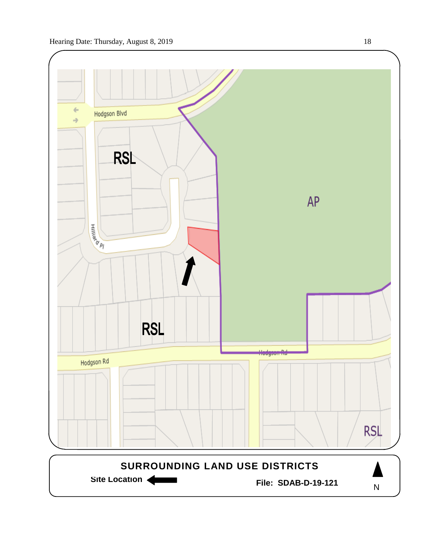